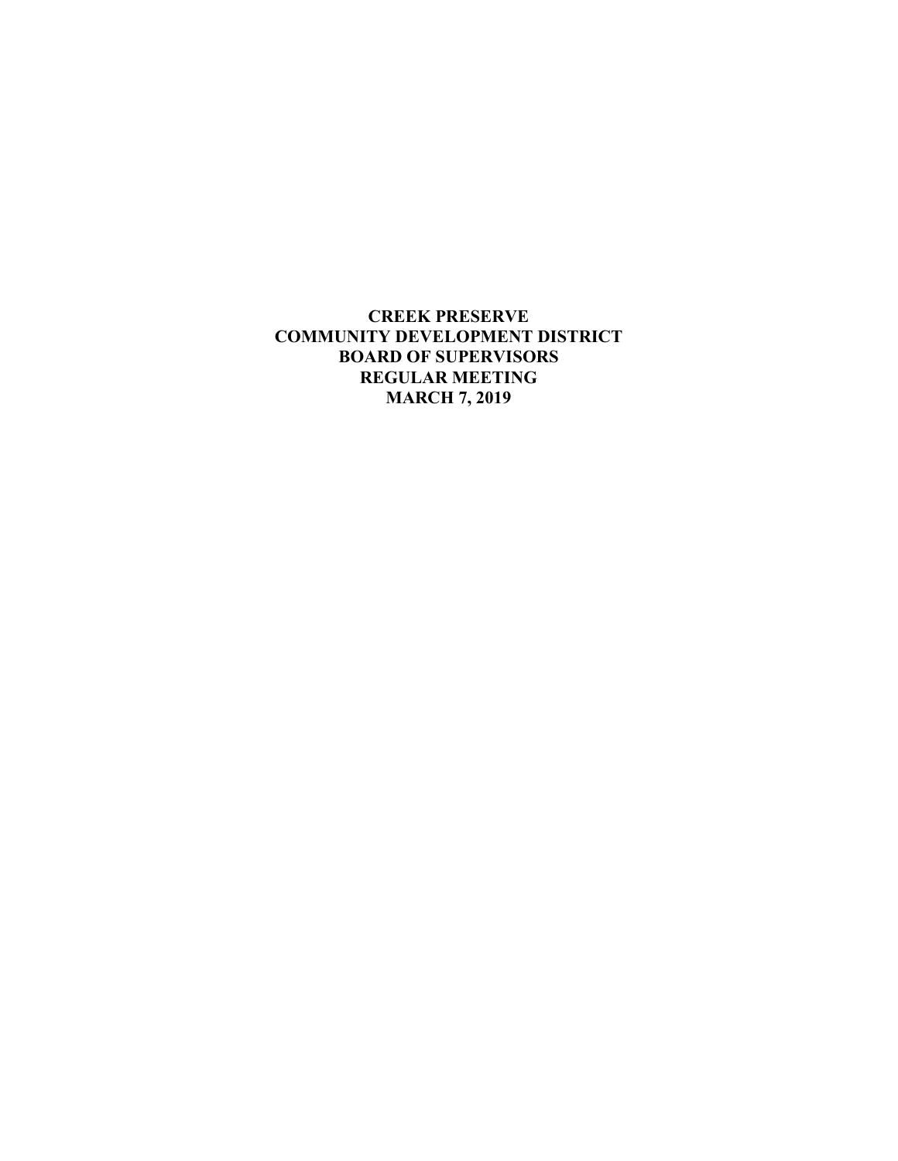**CREEK PRESERVE COMMUNITY DEVELOPMENT DISTRICT BOARD OF SUPERVISORS REGULAR MEETING MARCH 7, 2019**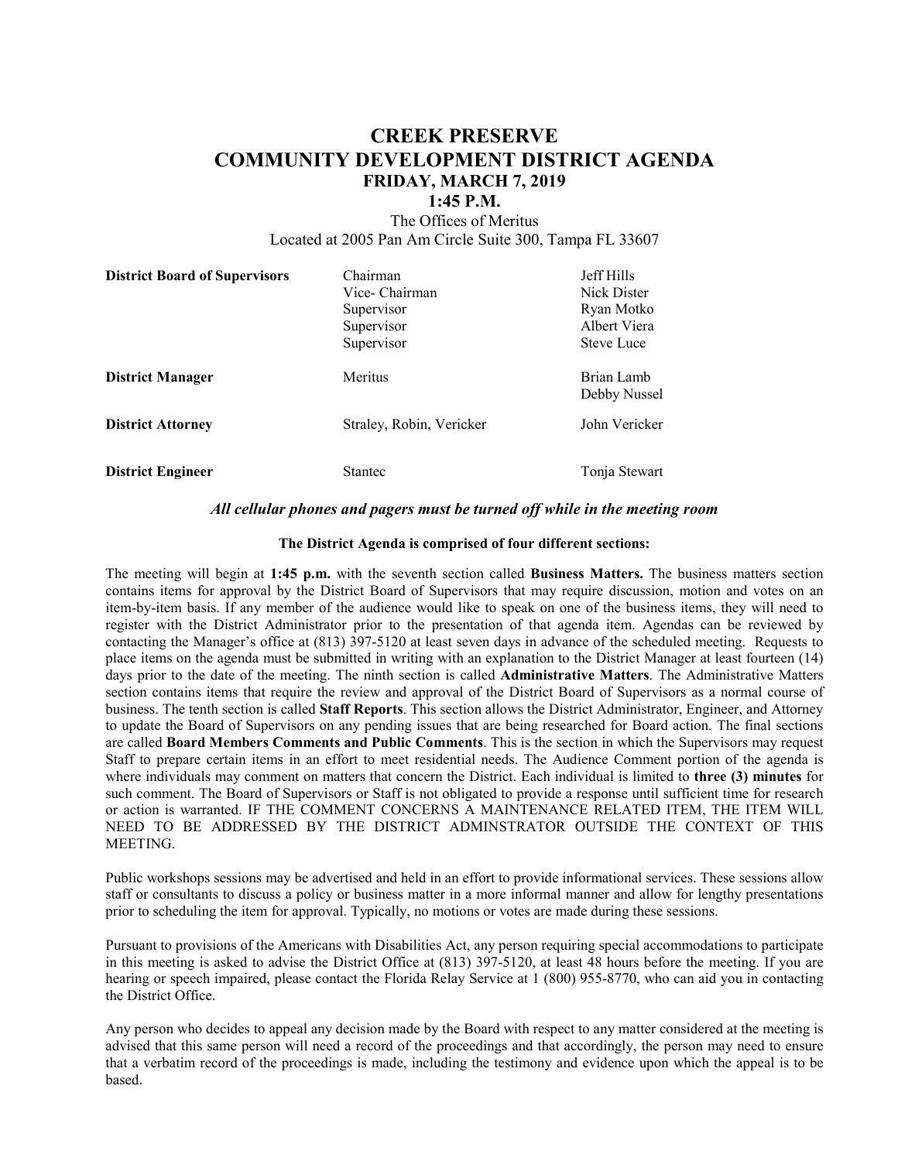# **CREEK PRESERVE COMMUNITY DEVELOPMENT DISTRICT AGENDA FRIDAY, MARCH 7, 2019**

## **1:45 P.M.**

The Offices of Meritus Located at 2005 Pan Am Circle Suite 300, Tampa FL 33607

| <b>District Board of Supervisors</b> | Chairman<br>Vice- Chairman<br>Supervisor<br>Supervisor | Jeff Hills<br>Nick Dister<br>Ryan Motko<br>Albert Viera |
|--------------------------------------|--------------------------------------------------------|---------------------------------------------------------|
|                                      | Supervisor                                             | <b>Steve Luce</b>                                       |
| <b>District Manager</b>              | Meritus                                                | Brian Lamb<br>Debby Nussel                              |
| <b>District Attorney</b>             | Straley, Robin, Vericker                               | John Vericker                                           |
| <b>District Engineer</b>             | Stantec                                                | Tonja Stewart                                           |

#### *All cellular phones and pagers must be turned off while in the meeting room*

#### **The District Agenda is comprised of four different sections:**

The meeting will begin at **1:45 p.m.** with the seventh section called **Business Matters.** The business matters section contains items for approval by the District Board of Supervisors that may require discussion, motion and votes on an item-by-item basis. If any member of the audience would like to speak on one of the business items, they will need to register with the District Administrator prior to the presentation of that agenda item. Agendas can be reviewed by contacting the Manager's office at (813) 397-5120 at least seven days in advance of the scheduled meeting. Requests to place items on the agenda must be submitted in writing with an explanation to the District Manager at least fourteen (14) days prior to the date of the meeting. The ninth section is called **Administrative Matters**. The Administrative Matters section contains items that require the review and approval of the District Board of Supervisors as a normal course of business. The tenth section is called **Staff Reports**. This section allows the District Administrator, Engineer, and Attorney to update the Board of Supervisors on any pending issues that are being researched for Board action. The final sections are called **Board Members Comments and Public Comments**. This is the section in which the Supervisors may request Staff to prepare certain items in an effort to meet residential needs. The Audience Comment portion of the agenda is where individuals may comment on matters that concern the District. Each individual is limited to **three (3) minutes** for such comment. The Board of Supervisors or Staff is not obligated to provide a response until sufficient time for research or action is warranted. IF THE COMMENT CONCERNS A MAINTENANCE RELATED ITEM, THE ITEM WILL NEED TO BE ADDRESSED BY THE DISTRICT ADMINSTRATOR OUTSIDE THE CONTEXT OF THIS MEETING.

Public workshops sessions may be advertised and held in an effort to provide informational services. These sessions allow staff or consultants to discuss a policy or business matter in a more informal manner and allow for lengthy presentations prior to scheduling the item for approval. Typically, no motions or votes are made during these sessions.

Pursuant to provisions of the Americans with Disabilities Act, any person requiring special accommodations to participate in this meeting is asked to advise the District Office at (813) 397-5120, at least 48 hours before the meeting. If you are hearing or speech impaired, please contact the Florida Relay Service at 1 (800) 955-8770, who can aid you in contacting the District Office.

Any person who decides to appeal any decision made by the Board with respect to any matter considered at the meeting is advised that this same person will need a record of the proceedings and that accordingly, the person may need to ensure that a verbatim record of the proceedings is made, including the testimony and evidence upon which the appeal is to be based.